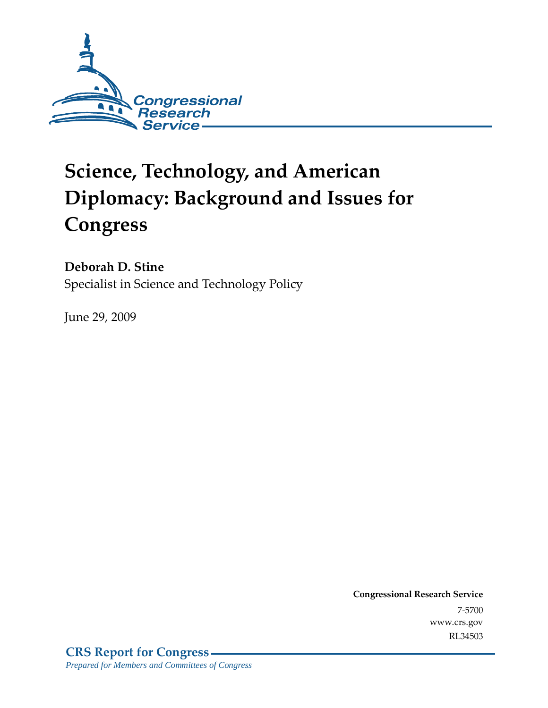

# **Science, Technology, and American Diplomacy: Background and Issues for Congress**

**Deborah D. Stine** 

Specialist in Science and Technology Policy

June 29, 2009

**Congressional Research Service** 7-5700 www.crs.gov RL34503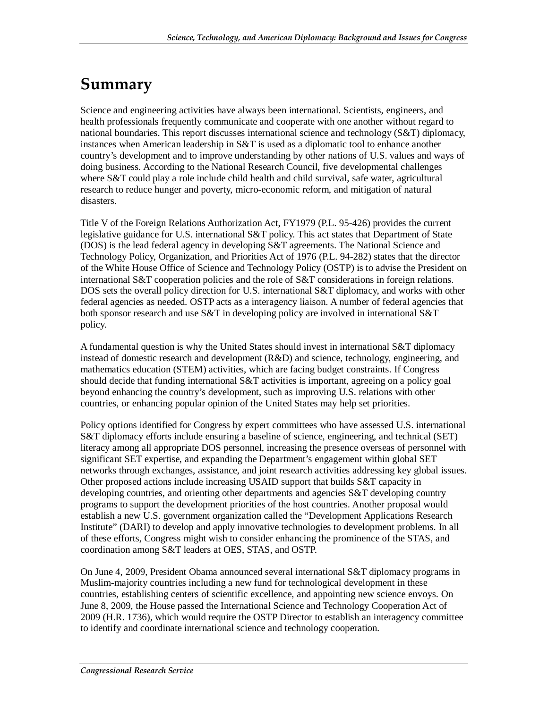## **Summary**

Science and engineering activities have always been international. Scientists, engineers, and health professionals frequently communicate and cooperate with one another without regard to national boundaries. This report discusses international science and technology (S&T) diplomacy, instances when American leadership in S&T is used as a diplomatic tool to enhance another country's development and to improve understanding by other nations of U.S. values and ways of doing business. According to the National Research Council, five developmental challenges where S&T could play a role include child health and child survival, safe water, agricultural research to reduce hunger and poverty, micro-economic reform, and mitigation of natural disasters.

Title V of the Foreign Relations Authorization Act, FY1979 (P.L. 95-426) provides the current legislative guidance for U.S. international S&T policy. This act states that Department of State (DOS) is the lead federal agency in developing S&T agreements. The National Science and Technology Policy, Organization, and Priorities Act of 1976 (P.L. 94-282) states that the director of the White House Office of Science and Technology Policy (OSTP) is to advise the President on international S&T cooperation policies and the role of S&T considerations in foreign relations. DOS sets the overall policy direction for U.S. international S&T diplomacy, and works with other federal agencies as needed. OSTP acts as a interagency liaison. A number of federal agencies that both sponsor research and use  $S\&T$  in developing policy are involved in international  $S\&T$ policy.

A fundamental question is why the United States should invest in international S&T diplomacy instead of domestic research and development (R&D) and science, technology, engineering, and mathematics education (STEM) activities, which are facing budget constraints. If Congress should decide that funding international S&T activities is important, agreeing on a policy goal beyond enhancing the country's development, such as improving U.S. relations with other countries, or enhancing popular opinion of the United States may help set priorities.

Policy options identified for Congress by expert committees who have assessed U.S. international S&T diplomacy efforts include ensuring a baseline of science, engineering, and technical (SET) literacy among all appropriate DOS personnel, increasing the presence overseas of personnel with significant SET expertise, and expanding the Department's engagement within global SET networks through exchanges, assistance, and joint research activities addressing key global issues. Other proposed actions include increasing USAID support that builds S&T capacity in developing countries, and orienting other departments and agencies S&T developing country programs to support the development priorities of the host countries. Another proposal would establish a new U.S. government organization called the "Development Applications Research Institute" (DARI) to develop and apply innovative technologies to development problems. In all of these efforts, Congress might wish to consider enhancing the prominence of the STAS, and coordination among S&T leaders at OES, STAS, and OSTP.

On June 4, 2009, President Obama announced several international S&T diplomacy programs in Muslim-majority countries including a new fund for technological development in these countries, establishing centers of scientific excellence, and appointing new science envoys. On June 8, 2009, the House passed the International Science and Technology Cooperation Act of 2009 (H.R. 1736), which would require the OSTP Director to establish an interagency committee to identify and coordinate international science and technology cooperation.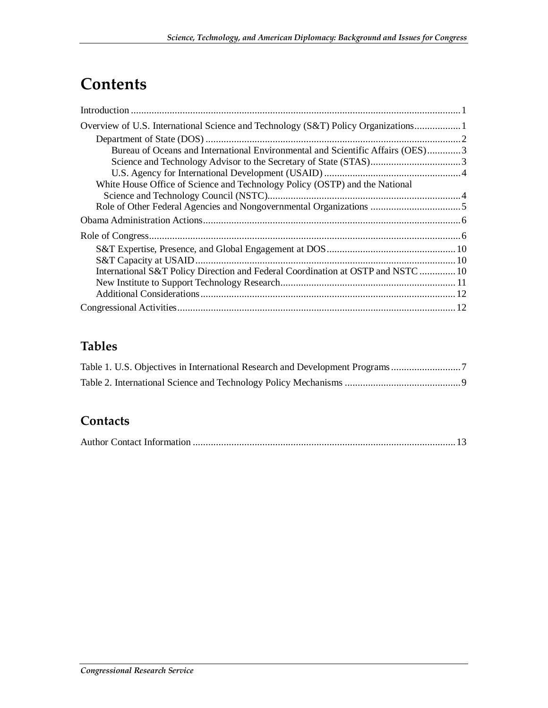## **Contents**

| Overview of U.S. International Science and Technology (S&T) Policy Organizations 1 |  |
|------------------------------------------------------------------------------------|--|
|                                                                                    |  |
| Bureau of Oceans and International Environmental and Scientific Affairs (OES)3     |  |
|                                                                                    |  |
|                                                                                    |  |
| White House Office of Science and Technology Policy (OSTP) and the National        |  |
|                                                                                    |  |
|                                                                                    |  |
|                                                                                    |  |
|                                                                                    |  |
|                                                                                    |  |
|                                                                                    |  |
| International S&T Policy Direction and Federal Coordination at OSTP and NSTC  10   |  |
|                                                                                    |  |
|                                                                                    |  |
|                                                                                    |  |

## **Tables**

## **Contacts**

|--|--|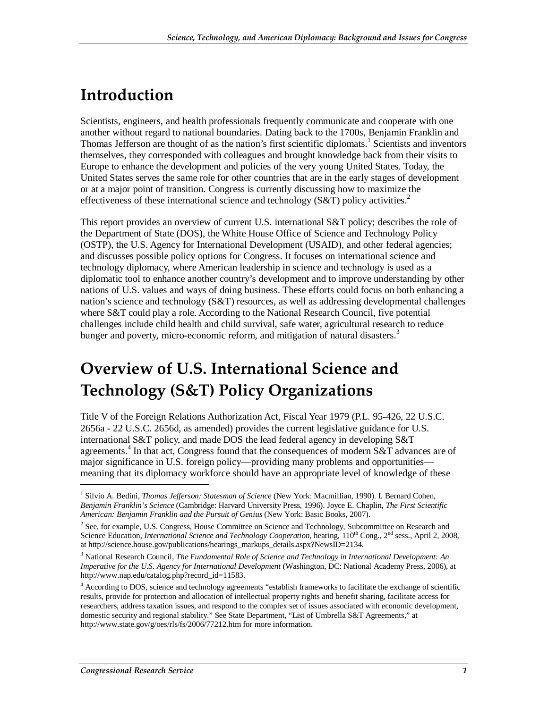## **Introduction**

Scientists, engineers, and health professionals frequently communicate and cooperate with one another without regard to national boundaries. Dating back to the 1700s, Benjamin Franklin and Thomas Jefferson are thought of as the nation's first scientific diplomats.<sup>1</sup> Scientists and inventors themselves, they corresponded with colleagues and brought knowledge back from their visits to Europe to enhance the development and policies of the very young United States. Today, the United States serves the same role for other countries that are in the early stages of development or at a major point of transition. Congress is currently discussing how to maximize the effectiveness of these international science and technology (S&T) policy activities.<sup>2</sup>

This report provides an overview of current U.S. international S&T policy; describes the role of the Department of State (DOS), the White House Office of Science and Technology Policy (OSTP), the U.S. Agency for International Development (USAID), and other federal agencies; and discusses possible policy options for Congress. It focuses on international science and technology diplomacy, where American leadership in science and technology is used as a diplomatic tool to enhance another country's development and to improve understanding by other nations of U.S. values and ways of doing business. These efforts could focus on both enhancing a nation's science and technology (S&T) resources, as well as addressing developmental challenges where S&T could play a role. According to the National Research Council, five potential challenges include child health and child survival, safe water, agricultural research to reduce hunger and poverty, micro-economic reform, and mitigation of natural disasters.<sup>3</sup>

## **Overview of U.S. International Science and Technology (S&T) Policy Organizations**

Title V of the Foreign Relations Authorization Act, Fiscal Year 1979 (P.L. 95-426, 22 U.S.C. 2656a - 22 U.S.C. 2656d, as amended) provides the current legislative guidance for U.S. international S&T policy, and made DOS the lead federal agency in developing  $S&T$ agreements.<sup>4</sup> In that act, Congress found that the consequences of modern S&T advances are of major significance in U.S. foreign policy—providing many problems and opportunities meaning that its diplomacy workforce should have an appropriate level of knowledge of these

<sup>&</sup>lt;sup>1</sup> Silvio A. Bedini, *Thomas Jefferson: Statesman of Science* (New York: Macmillian, 1990). I. Bernard Cohen, *Benjamin Franklin's Science* (Cambridge: Harvard University Press, 1996). Joyce E. Chaplin, *The First Scientific American: Benjamin Franklin and the Pursuit of Genius* (New York: Basic Books, 2007).

<sup>&</sup>lt;sup>2</sup> See, for example, U.S. Congress, House Committee on Science and Technology, Subcommittee on Research and Science Education, *International Science and Technology Cooperation*, hearing, 110<sup>th</sup> Cong., 2<sup>nd</sup> sess., April 2, 2008, at http://science.house.gov/publications/hearings\_markups\_details.aspx?NewsID=2134.

<sup>&</sup>lt;sup>3</sup> National Research Council, *The Fundamental Role of Science and Technology in International Development: An Imperative for the U.S. Agency for International Development* (Washington, DC: National Academy Press, 2006), at http://www.nap.edu/catalog.php?record\_id=11583.

<sup>&</sup>lt;sup>4</sup> According to DOS, science and technology agreements "establish frameworks to facilitate the exchange of scientific results, provide for protection and allocation of intellectual property rights and benefit sharing, facilitate access for researchers, address taxation issues, and respond to the complex set of issues associated with economic development, domestic security and regional stability." See State Department, "List of Umbrella S&T Agreements," at http://www.state.gov/g/oes/rls/fs/2006/77212.htm for more information.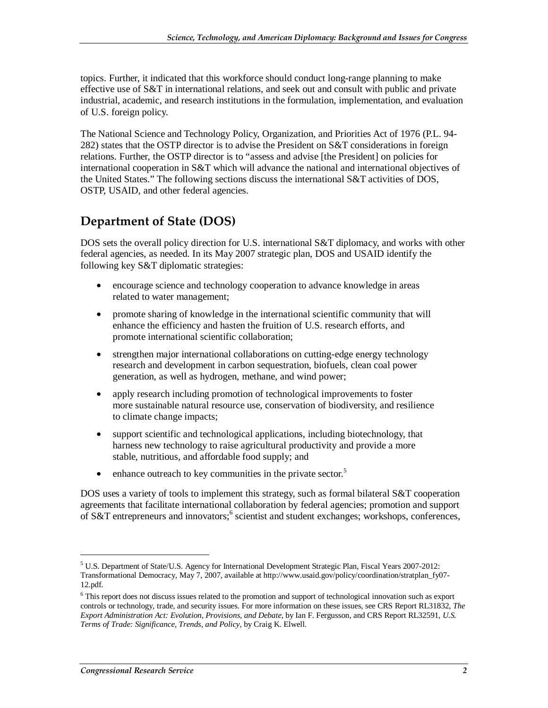topics. Further, it indicated that this workforce should conduct long-range planning to make effective use of S&T in international relations, and seek out and consult with public and private industrial, academic, and research institutions in the formulation, implementation, and evaluation of U.S. foreign policy.

The National Science and Technology Policy, Organization, and Priorities Act of 1976 (P.L. 94- 282) states that the OSTP director is to advise the President on S&T considerations in foreign relations. Further, the OSTP director is to "assess and advise [the President] on policies for international cooperation in S&T which will advance the national and international objectives of the United States." The following sections discuss the international S&T activities of DOS, OSTP, USAID, and other federal agencies.

### **Department of State (DOS)**

DOS sets the overall policy direction for U.S. international S&T diplomacy, and works with other federal agencies, as needed. In its May 2007 strategic plan, DOS and USAID identify the following key S&T diplomatic strategies:

- encourage science and technology cooperation to advance knowledge in areas related to water management;
- promote sharing of knowledge in the international scientific community that will enhance the efficiency and hasten the fruition of U.S. research efforts, and promote international scientific collaboration;
- strengthen major international collaborations on cutting-edge energy technology research and development in carbon sequestration, biofuels, clean coal power generation, as well as hydrogen, methane, and wind power;
- apply research including promotion of technological improvements to foster more sustainable natural resource use, conservation of biodiversity, and resilience to climate change impacts;
- support scientific and technological applications, including biotechnology, that harness new technology to raise agricultural productivity and provide a more stable, nutritious, and affordable food supply; and
- enhance outreach to key communities in the private sector. $5$

DOS uses a variety of tools to implement this strategy, such as formal bilateral S&T cooperation agreements that facilitate international collaboration by federal agencies; promotion and support of S&T entrepreneurs and innovators;<sup>6</sup> scientist and student exchanges; workshops, conferences,

<sup>&</sup>lt;sup>5</sup> U.S. Department of State/U.S. Agency for International Development Strategic Plan, Fiscal Years 2007-2012: Transformational Democracy, May 7, 2007, available at http://www.usaid.gov/policy/coordination/stratplan\_fy07- 12.pdf.

<sup>&</sup>lt;sup>6</sup> This report does not discuss issues related to the promotion and support of technological innovation such as export controls or technology, trade, and security issues. For more information on these issues, see CRS Report RL31832, *The Export Administration Act: Evolution, Provisions, and Debate*, by Ian F. Fergusson, and CRS Report RL32591, *U.S. Terms of Trade: Significance, Trends, and Policy*, by Craig K. Elwell.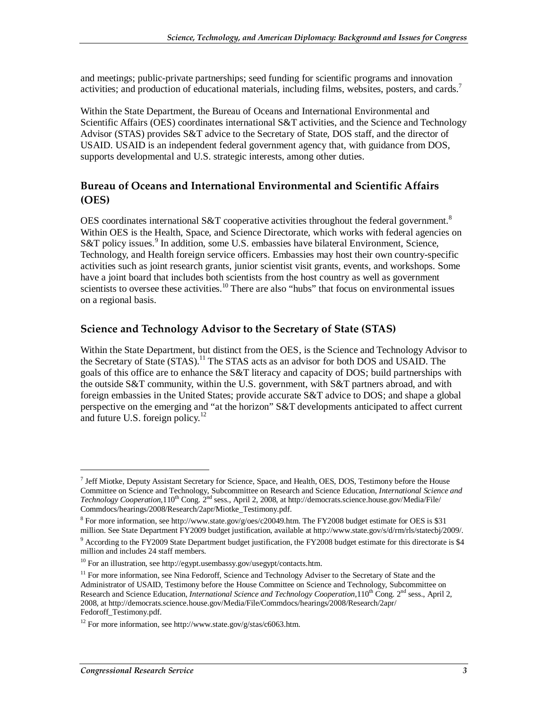and meetings; public-private partnerships; seed funding for scientific programs and innovation activities; and production of educational materials, including films, websites, posters, and cards.<sup>7</sup>

Within the State Department, the Bureau of Oceans and International Environmental and Scientific Affairs (OES) coordinates international S&T activities, and the Science and Technology Advisor (STAS) provides S&T advice to the Secretary of State, DOS staff, and the director of USAID. USAID is an independent federal government agency that, with guidance from DOS, supports developmental and U.S. strategic interests, among other duties.

#### **Bureau of Oceans and International Environmental and Scientific Affairs (OES)**

OES coordinates international S&T cooperative activities throughout the federal government.<sup>8</sup> Within OES is the Health, Space, and Science Directorate, which works with federal agencies on S&T policy issues.<sup>9</sup> In addition, some U.S. embassies have bilateral Environment, Science, Technology, and Health foreign service officers. Embassies may host their own country-specific activities such as joint research grants, junior scientist visit grants, events, and workshops. Some have a joint board that includes both scientists from the host country as well as government scientists to oversee these activities.<sup>10</sup> There are also "hubs" that focus on environmental issues on a regional basis.

#### **Science and Technology Advisor to the Secretary of State (STAS)**

Within the State Department, but distinct from the OES, is the Science and Technology Advisor to the Secretary of State (STAS).<sup>11</sup> The STAS acts as an advisor for both DOS and USAID. The goals of this office are to enhance the S&T literacy and capacity of DOS; build partnerships with the outside S&T community, within the U.S. government, with S&T partners abroad, and with foreign embassies in the United States; provide accurate S&T advice to DOS; and shape a global perspective on the emerging and "at the horizon" S&T developments anticipated to affect current and future U.S. foreign policy. $12$ 

<sup>&</sup>lt;sup>7</sup> Jeff Miotke, Deputy Assistant Secretary for Science, Space, and Health, OES, DOS, Testimony before the House Committee on Science and Technology, Subcommittee on Research and Science Education, *International Science and Technology Cooperation*,110<sup>th</sup> Cong. 2<sup>nd</sup> sess., April 2, 2008, at http://democrats.science.house.gov/Media/File/ Commdocs/hearings/2008/Research/2apr/Miotke\_Testimony.pdf.

 $8$  For more information, see http://www.state.gov/g/oes/c20049.htm. The FY2008 budget estimate for OES is \$31 million. See State Department FY2009 budget justification, available at http://www.state.gov/s/d/rm/rls/statecbj/2009/.

<sup>&</sup>lt;sup>9</sup> According to the FY2009 State Department budget justification, the FY2008 budget estimate for this directorate is \$4 million and includes 24 staff members.

 $10$  For an illustration, see http://egypt.usembassy.gov/usegypt/contacts.htm.

 $11$  For more information, see Nina Fedoroff, Science and Technology Adviser to the Secretary of State and the Administrator of USAID, Testimony before the House Committee on Science and Technology, Subcommittee on Research and Science Education, *International Science and Technology Cooperation*, 110<sup>th</sup> Cong. 2<sup>nd</sup> sess., April 2, 2008, at http://democrats.science.house.gov/Media/File/Commdocs/hearings/2008/Research/2apr/ Fedoroff\_Testimony.pdf.

<sup>&</sup>lt;sup>12</sup> For more information, see http://www.state.gov/g/stas/c6063.htm.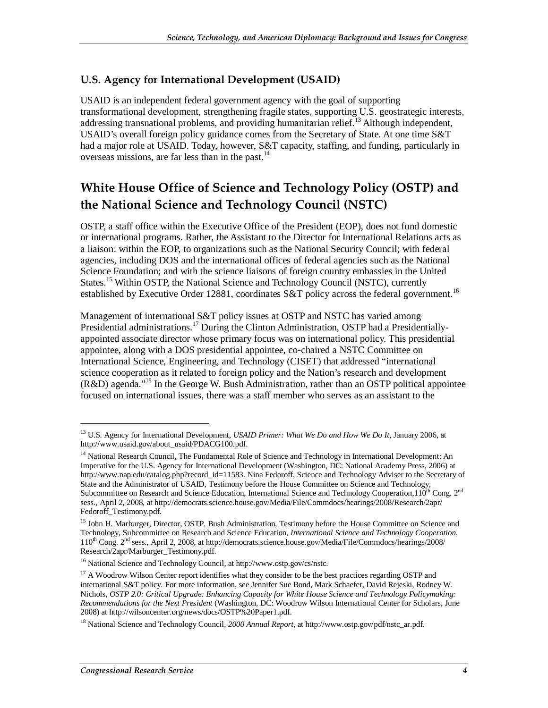#### **U.S. Agency for International Development (USAID)**

USAID is an independent federal government agency with the goal of supporting transformational development, strengthening fragile states, supporting U.S. geostrategic interests, addressing transnational problems, and providing humanitarian relief.<sup>13</sup> Although independent, USAID's overall foreign policy guidance comes from the Secretary of State. At one time S&T had a major role at USAID. Today, however, S&T capacity, staffing, and funding, particularly in overseas missions, are far less than in the past. $^{14}$ 

## **White House Office of Science and Technology Policy (OSTP) and the National Science and Technology Council (NSTC)**

OSTP, a staff office within the Executive Office of the President (EOP), does not fund domestic or international programs. Rather, the Assistant to the Director for International Relations acts as a liaison: within the EOP, to organizations such as the National Security Council; with federal agencies, including DOS and the international offices of federal agencies such as the National Science Foundation; and with the science liaisons of foreign country embassies in the United States.<sup>15</sup> Within OSTP, the National Science and Technology Council (NSTC), currently established by Executive Order 12881, coordinates S&T policy across the federal government.<sup>16</sup>

Management of international S&T policy issues at OSTP and NSTC has varied among Presidential administrations.<sup>17</sup> During the Clinton Administration, OSTP had a Presidentiallyappointed associate director whose primary focus was on international policy. This presidential appointee, along with a DOS presidential appointee, co-chaired a NSTC Committee on International Science, Engineering, and Technology (CISET) that addressed "international science cooperation as it related to foreign policy and the Nation's research and development (R&D) agenda."18 In the George W. Bush Administration, rather than an OSTP political appointee focused on international issues, there was a staff member who serves as an assistant to the

<sup>13</sup> U.S. Agency for International Development, *USAID Primer: What We Do and How We Do It*, January 2006, at http://www.usaid.gov/about\_usaid/PDACG100.pdf.

<sup>&</sup>lt;sup>14</sup> National Research Council, The Fundamental Role of Science and Technology in International Development: An Imperative for the U.S. Agency for International Development (Washington, DC: National Academy Press, 2006) at http://www.nap.edu/catalog.php?record\_id=11583. Nina Fedoroff, Science and Technology Adviser to the Secretary of State and the Administrator of USAID, Testimony before the House Committee on Science and Technology, Subcommittee on Research and Science Education, International Science and Technology Cooperation, 110<sup>th</sup> Cong. 2<sup>nd</sup> sess., April 2, 2008, at http://democrats.science.house.gov/Media/File/Commdocs/hearings/2008/Research/2apr/ Fedoroff\_Testimony.pdf.

<sup>&</sup>lt;sup>15</sup> John H. Marburger, Director, OSTP, Bush Administration, Testimony before the House Committee on Science and Technology, Subcommittee on Research and Science Education, *International Science and Technology Cooperation*, 110th Cong. 2nd sess., April 2, 2008, at http://democrats.science.house.gov/Media/File/Commdocs/hearings/2008/ Research/2apr/Marburger\_Testimony.pdf.

<sup>&</sup>lt;sup>16</sup> National Science and Technology Council, at http://www.ostp.gov/cs/nstc.

<sup>&</sup>lt;sup>17</sup> A Woodrow Wilson Center report identifies what they consider to be the best practices regarding OSTP and international S&T policy. For more information, see Jennifer Sue Bond, Mark Schaefer, David Rejeski, Rodney W. Nichols, *OSTP 2.0: Critical Upgrade: Enhancing Capacity for White House Science and Technology Policymaking: Recommendations for the Next President* (Washington, DC: Woodrow Wilson International Center for Scholars, June 2008) at http://wilsoncenter.org/news/docs/OSTP%20Paper1.pdf.

<sup>18</sup> National Science and Technology Council*, 2000 Annual Report*, at http://www.ostp.gov/pdf/nstc\_ar.pdf.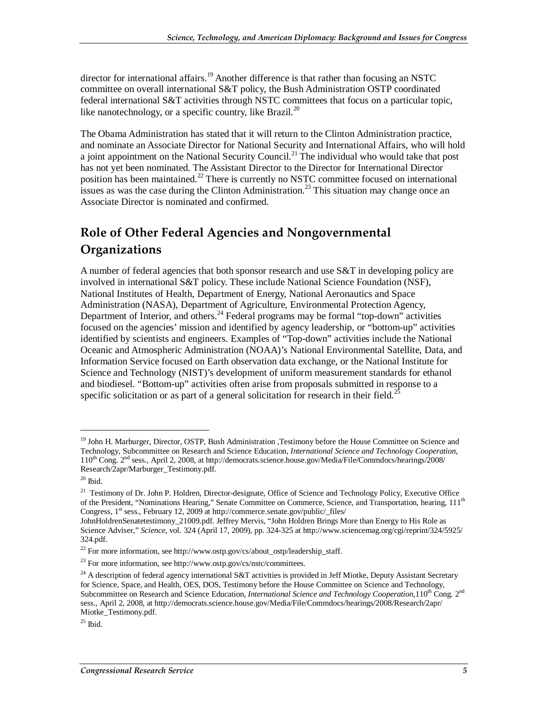director for international affairs.<sup>19</sup> Another difference is that rather than focusing an NSTC committee on overall international S&T policy, the Bush Administration OSTP coordinated federal international S&T activities through NSTC committees that focus on a particular topic, like nanotechnology, or a specific country, like Brazil.<sup>20</sup>

The Obama Administration has stated that it will return to the Clinton Administration practice, and nominate an Associate Director for National Security and International Affairs, who will hold a joint appointment on the National Security Council.<sup>21</sup> The individual who would take that post has not yet been nominated. The Assistant Director to the Director for International Director position has been maintained.<sup>22</sup> There is currently no NSTC committee focused on international issues as was the case during the Clinton Administration.<sup>23</sup> This situation may change once an Associate Director is nominated and confirmed.

## **Role of Other Federal Agencies and Nongovernmental Organizations**

A number of federal agencies that both sponsor research and use S&T in developing policy are involved in international S&T policy. These include National Science Foundation (NSF), National Institutes of Health, Department of Energy, National Aeronautics and Space Administration (NASA), Department of Agriculture, Environmental Protection Agency, Department of Interior, and others.<sup>24</sup> Federal programs may be formal "top-down" activities focused on the agencies' mission and identified by agency leadership, or "bottom-up" activities identified by scientists and engineers. Examples of "Top-down" activities include the National Oceanic and Atmospheric Administration (NOAA)'s National Environmental Satellite, Data, and Information Service focused on Earth observation data exchange, or the National Institute for Science and Technology (NIST)'s development of uniform measurement standards for ethanol and biodiesel. "Bottom-up" activities often arise from proposals submitted in response to a specific solicitation or as part of a general solicitation for research in their field.<sup>2</sup>

<sup>&</sup>lt;sup>19</sup> John H. Marburger, Director, OSTP, Bush Administration ,Testimony before the House Committee on Science and Technology, Subcommittee on Research and Science Education, *International Science and Technology Cooperation*, 110th Cong. 2nd sess., April 2, 2008, at http://democrats.science.house.gov/Media/File/Commdocs/hearings/2008/ Research/2apr/Marburger\_Testimony.pdf.

 $^{\rm 20}$  Ibid.

<sup>&</sup>lt;sup>21</sup> Testimony of Dr. John P. Holdren, Director-designate, Office of Science and Technology Policy, Executive Office of the President, "Nominations Hearing," Senate Committee on Commerce, Science, and Transportation, hearing, 111<sup>th</sup> Congress, 1<sup>st</sup> sess., February 12, 2009 at http://commerce.senate.gov/public/\_files/

JohnHoldrenSenatetestimony\_21009.pdf. Jeffrey Mervis, "John Holdren Brings More than Energy to His Role as Science Adviser," *Science*, vol. 324 (April 17, 2009), pp. 324-325 at http://www.sciencemag.org/cgi/reprint/324/5925/ 324.pdf.

<sup>&</sup>lt;sup>22</sup> For more information, see http://www.ostp.gov/cs/about\_ostp/leadership\_staff.

 $^{23}$  For more information, see http://www.ostp.gov/cs/nstc/committees.

<sup>&</sup>lt;sup>24</sup> A description of federal agency international S&T activities is provided in Jeff Miotke, Deputy Assistant Secretary for Science, Space, and Health, OES, DOS, Testimony before the House Committee on Science and Technology, Subcommittee on Research and Science Education, *International Science and Technology Cooperation*, 110<sup>th</sup> Cong. 2<sup>nd</sup> sess., April 2, 2008, at http://democrats.science.house.gov/Media/File/Commdocs/hearings/2008/Research/2apr/ Miotke\_Testimony.pdf.

 $^{25}$  Ibid.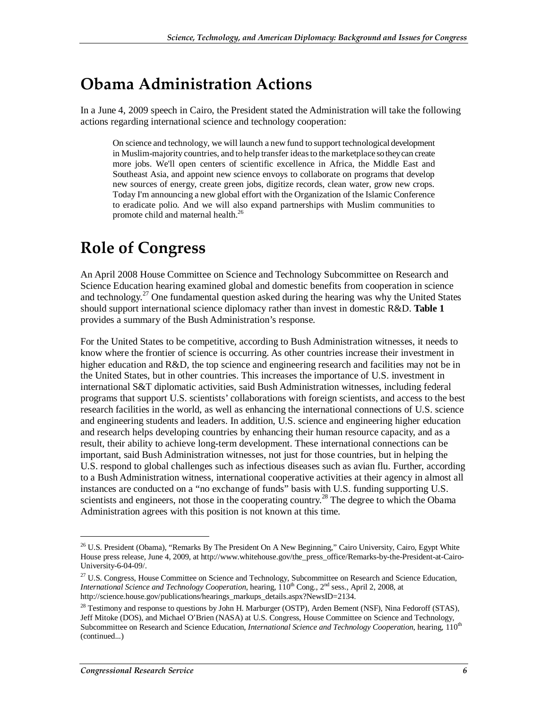## **Obama Administration Actions**

In a June 4, 2009 speech in Cairo, the President stated the Administration will take the following actions regarding international science and technology cooperation:

On science and technology, we will launch a new fund to support technological development in Muslim-majority countries, and to help transfer ideas to the marketplace so they can create more jobs. We'll open centers of scientific excellence in Africa, the Middle East and Southeast Asia, and appoint new science envoys to collaborate on programs that develop new sources of energy, create green jobs, digitize records, clean water, grow new crops. Today I'm announcing a new global effort with the Organization of the Islamic Conference to eradicate polio. And we will also expand partnerships with Muslim communities to promote child and maternal health.<sup>26</sup>

## **Role of Congress**

An April 2008 House Committee on Science and Technology Subcommittee on Research and Science Education hearing examined global and domestic benefits from cooperation in science and technology.<sup>27</sup> One fundamental question asked during the hearing was why the United States should support international science diplomacy rather than invest in domestic R&D. **Table 1**  provides a summary of the Bush Administration's response.

For the United States to be competitive, according to Bush Administration witnesses, it needs to know where the frontier of science is occurring. As other countries increase their investment in higher education and R&D, the top science and engineering research and facilities may not be in the United States, but in other countries. This increases the importance of U.S. investment in international S&T diplomatic activities, said Bush Administration witnesses, including federal programs that support U.S. scientists' collaborations with foreign scientists, and access to the best research facilities in the world, as well as enhancing the international connections of U.S. science and engineering students and leaders. In addition, U.S. science and engineering higher education and research helps developing countries by enhancing their human resource capacity, and as a result, their ability to achieve long-term development. These international connections can be important, said Bush Administration witnesses, not just for those countries, but in helping the U.S. respond to global challenges such as infectious diseases such as avian flu. Further, according to a Bush Administration witness, international cooperative activities at their agency in almost all instances are conducted on a "no exchange of funds" basis with U.S. funding supporting U.S. scientists and engineers, not those in the cooperating country.<sup>28</sup> The degree to which the Obama Administration agrees with this position is not known at this time.

<sup>&</sup>lt;sup>26</sup> U.S. President (Obama), "Remarks By The President On A New Beginning," Cairo University, Cairo, Egypt White House press release, June 4, 2009, at http://www.whitehouse.gov/the\_press\_office/Remarks-by-the-President-at-Cairo-University-6-04-09/.

<sup>&</sup>lt;sup>27</sup> U.S. Congress, House Committee on Science and Technology, Subcommittee on Research and Science Education, *International Science and Technology Cooperation*, hearing, 110<sup>th</sup> Cong., 2<sup>nd</sup> sess., April 2, 2008, at http://science.house.gov/publications/hearings\_markups\_details.aspx?NewsID=2134.

<sup>&</sup>lt;sup>28</sup> Testimony and response to questions by John H. Marburger (OSTP), Arden Bement (NSF), Nina Fedoroff (STAS), Jeff Mitoke (DOS), and Michael O'Brien (NASA) at U.S. Congress, House Committee on Science and Technology, Subcommittee on Research and Science Education, *International Science and Technology Cooperation*, hearing, 110<sup>th</sup> (continued...)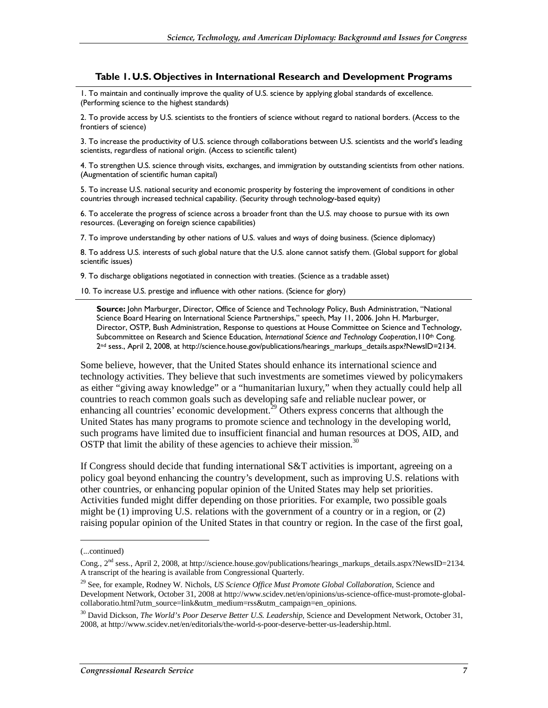#### **Table 1. U.S. Objectives in International Research and Development Programs**

1. To maintain and continually improve the quality of U.S. science by applying global standards of excellence. (Performing science to the highest standards)

2. To provide access by U.S. scientists to the frontiers of science without regard to national borders. (Access to the frontiers of science)

3. To increase the productivity of U.S. science through collaborations between U.S. scientists and the world's leading scientists, regardless of national origin. (Access to scientific talent)

4. To strengthen U.S. science through visits, exchanges, and immigration by outstanding scientists from other nations. (Augmentation of scientific human capital)

5. To increase U.S. national security and economic prosperity by fostering the improvement of conditions in other countries through increased technical capability. (Security through technology-based equity)

6. To accelerate the progress of science across a broader front than the U.S. may choose to pursue with its own resources. (Leveraging on foreign science capabilities)

7. To improve understanding by other nations of U.S. values and ways of doing business. (Science diplomacy)

8. To address U.S. interests of such global nature that the U.S. alone cannot satisfy them. (Global support for global scientific issues)

9. To discharge obligations negotiated in connection with treaties. (Science as a tradable asset)

10. To increase U.S. prestige and influence with other nations. (Science for glory)

**Source:** John Marburger, Director, Office of Science and Technology Policy, Bush Administration, "National Science Board Hearing on International Science Partnerships," speech, May 11, 2006. John H. Marburger, Director, OSTP, Bush Administration, Response to questions at House Committee on Science and Technology, Subcommittee on Research and Science Education, *International Science and Technology Cooperation*,110th Cong. 2<sup>nd</sup> sess., April 2, 2008, at http://science.house.gov/publications/hearings\_markups\_details.aspx?NewsID=2134.

Some believe, however, that the United States should enhance its international science and technology activities. They believe that such investments are sometimes viewed by policymakers as either "giving away knowledge" or a "humanitarian luxury," when they actually could help all countries to reach common goals such as developing safe and reliable nuclear power, or enhancing all countries' economic development.<sup>29</sup> Others express concerns that although the United States has many programs to promote science and technology in the developing world, such programs have limited due to insufficient financial and human resources at DOS, AID, and OSTP that limit the ability of these agencies to achieve their mission.<sup>30</sup>

If Congress should decide that funding international S&T activities is important, agreeing on a policy goal beyond enhancing the country's development, such as improving U.S. relations with other countries, or enhancing popular opinion of the United States may help set priorities. Activities funded might differ depending on those priorities. For example, two possible goals might be  $(1)$  improving U.S. relations with the government of a country or in a region, or  $(2)$ raising popular opinion of the United States in that country or region. In the case of the first goal,

<sup>(...</sup>continued)

Cong.,  $2<sup>nd</sup>$  sess., April 2, 2008, at http://science.house.gov/publications/hearings\_markups\_details.aspx?NewsID=2134. A transcript of the hearing is available from Congressional Quarterly.

<sup>29</sup> See, for example, Rodney W. Nichols, *US Science Office Must Promote Global Collaboration*, Science and Development Network, October 31, 2008 at http://www.scidev.net/en/opinions/us-science-office-must-promote-globalcollaboratio.html?utm\_source=link&utm\_medium=rss&utm\_campaign=en\_opinions.

<sup>&</sup>lt;sup>30</sup> David Dickson, *The World's Poor Deserve Better U.S. Leadership*, Science and Development Network, October 31, 2008, at http://www.scidev.net/en/editorials/the-world-s-poor-deserve-better-us-leadership.html.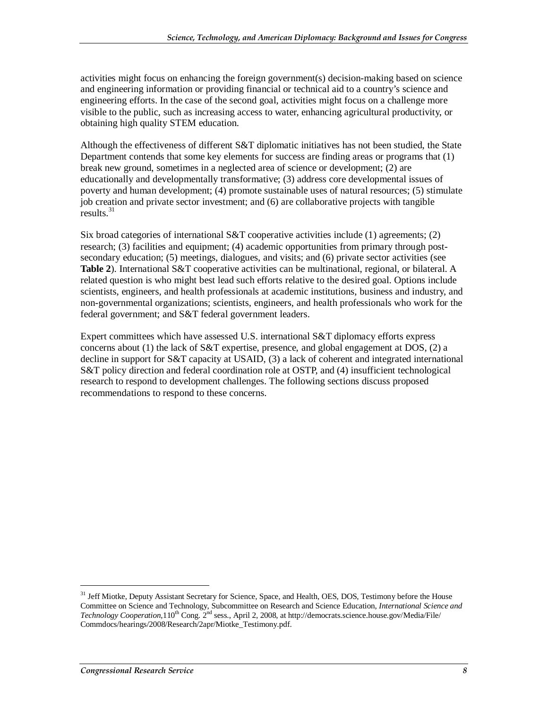activities might focus on enhancing the foreign government(s) decision-making based on science and engineering information or providing financial or technical aid to a country's science and engineering efforts. In the case of the second goal, activities might focus on a challenge more visible to the public, such as increasing access to water, enhancing agricultural productivity, or obtaining high quality STEM education.

Although the effectiveness of different S&T diplomatic initiatives has not been studied, the State Department contends that some key elements for success are finding areas or programs that (1) break new ground, sometimes in a neglected area of science or development; (2) are educationally and developmentally transformative; (3) address core developmental issues of poverty and human development; (4) promote sustainable uses of natural resources; (5) stimulate job creation and private sector investment; and (6) are collaborative projects with tangible  $results.<sup>31</sup>$ 

Six broad categories of international S&T cooperative activities include  $(1)$  agreements;  $(2)$ research; (3) facilities and equipment; (4) academic opportunities from primary through postsecondary education; (5) meetings, dialogues, and visits; and (6) private sector activities (see **Table 2**). International S&T cooperative activities can be multinational, regional, or bilateral. A related question is who might best lead such efforts relative to the desired goal. Options include scientists, engineers, and health professionals at academic institutions, business and industry, and non-governmental organizations; scientists, engineers, and health professionals who work for the federal government; and S&T federal government leaders.

Expert committees which have assessed U.S. international S&T diplomacy efforts express concerns about (1) the lack of S&T expertise, presence, and global engagement at DOS, (2) a decline in support for S&T capacity at USAID, (3) a lack of coherent and integrated international S&T policy direction and federal coordination role at OSTP, and (4) insufficient technological research to respond to development challenges. The following sections discuss proposed recommendations to respond to these concerns.

<sup>&</sup>lt;sup>31</sup> Jeff Miotke, Deputy Assistant Secretary for Science, Space, and Health, OES, DOS, Testimony before the House Committee on Science and Technology, Subcommittee on Research and Science Education, *International Science and Technology Cooperation*,110<sup>th</sup> Cong. 2<sup>nd</sup> sess., April 2, 2008, at http://democrats.science.house.gov/Media/File/ Commdocs/hearings/2008/Research/2apr/Miotke\_Testimony.pdf.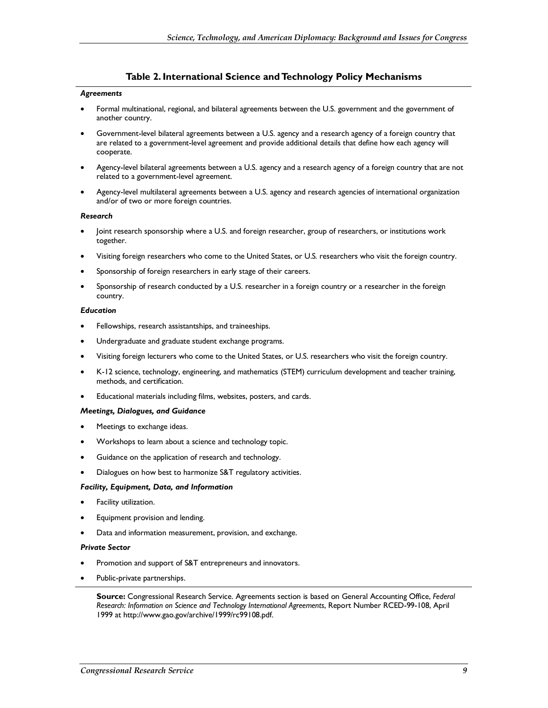#### **Table 2. International Science and Technology Policy Mechanisms**

#### *Agreements*

- Formal multinational, regional, and bilateral agreements between the U.S. government and the government of another country.
- Government-level bilateral agreements between a U.S. agency and a research agency of a foreign country that are related to a government-level agreement and provide additional details that define how each agency will cooperate.
- Agency-level bilateral agreements between a U.S. agency and a research agency of a foreign country that are not related to a government-level agreement.
- Agency-level multilateral agreements between a U.S. agency and research agencies of international organization and/or of two or more foreign countries.

#### *Research*

- Joint research sponsorship where a U.S. and foreign researcher, group of researchers, or institutions work together.
- Visiting foreign researchers who come to the United States, or U.S. researchers who visit the foreign country.
- Sponsorship of foreign researchers in early stage of their careers.
- Sponsorship of research conducted by a U.S. researcher in a foreign country or a researcher in the foreign country.

#### *Education*

- Fellowships, research assistantships, and traineeships.
- Undergraduate and graduate student exchange programs.
- Visiting foreign lecturers who come to the United States, or U.S. researchers who visit the foreign country.
- K-12 science, technology, engineering, and mathematics (STEM) curriculum development and teacher training, methods, and certification.
- Educational materials including films, websites, posters, and cards.

#### *Meetings, Dialogues, and Guidance*

- Meetings to exchange ideas.
- Workshops to learn about a science and technology topic.
- Guidance on the application of research and technology.
- Dialogues on how best to harmonize S&T regulatory activities.

#### *Facility, Equipment, Data, and Information*

- Facility utilization.
- Equipment provision and lending.
- Data and information measurement, provision, and exchange.

#### *Private Sector*

- Promotion and support of S&T entrepreneurs and innovators.
- Public-private partnerships.

**Source:** Congressional Research Service. Agreements section is based on General Accounting Office, *Federal Research: Information on Science and Technology International Agreements*, Report Number RCED-99-108, April 1999 at http://www.gao.gov/archive/1999/rc99108.pdf.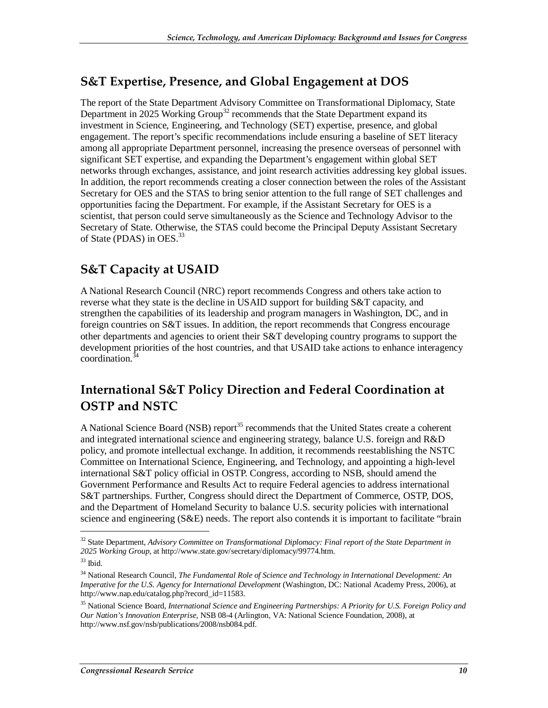### **S&T Expertise, Presence, and Global Engagement at DOS**

The report of the State Department Advisory Committee on Transformational Diplomacy, State Department in 2025 Working Group<sup>32</sup> recommends that the State Department expand its investment in Science, Engineering, and Technology (SET) expertise, presence, and global engagement. The report's specific recommendations include ensuring a baseline of SET literacy among all appropriate Department personnel, increasing the presence overseas of personnel with significant SET expertise, and expanding the Department's engagement within global SET networks through exchanges, assistance, and joint research activities addressing key global issues. In addition, the report recommends creating a closer connection between the roles of the Assistant Secretary for OES and the STAS to bring senior attention to the full range of SET challenges and opportunities facing the Department. For example, if the Assistant Secretary for OES is a scientist, that person could serve simultaneously as the Science and Technology Advisor to the Secretary of State. Otherwise, the STAS could become the Principal Deputy Assistant Secretary of State (PDAS) in OES.<sup>33</sup>

### **S&T Capacity at USAID**

A National Research Council (NRC) report recommends Congress and others take action to reverse what they state is the decline in USAID support for building S&T capacity, and strengthen the capabilities of its leadership and program managers in Washington, DC, and in foreign countries on S&T issues. In addition, the report recommends that Congress encourage other departments and agencies to orient their S&T developing country programs to support the development priorities of the host countries, and that USAID take actions to enhance interagency coordination. $3\overline{3}$ 

### **International S&T Policy Direction and Federal Coordination at OSTP and NSTC**

A National Science Board (NSB) report<sup>35</sup> recommends that the United States create a coherent and integrated international science and engineering strategy, balance U.S. foreign and R&D policy, and promote intellectual exchange. In addition, it recommends reestablishing the NSTC Committee on International Science, Engineering, and Technology, and appointing a high-level international S&T policy official in OSTP. Congress, according to NSB, should amend the Government Performance and Results Act to require Federal agencies to address international S&T partnerships. Further, Congress should direct the Department of Commerce, OSTP, DOS, and the Department of Homeland Security to balance U.S. security policies with international science and engineering (S&E) needs. The report also contends it is important to facilitate "brain

<sup>32</sup> State Department, *Advisory Committee on Transformational Diplomacy: Final report of the State Department in 2025 Working Group*, at http://www.state.gov/secretary/diplomacy/99774.htm.

 $33$  Ibid.

<sup>34</sup> National Research Council, *The Fundamental Role of Science and Technology in International Development: An Imperative for the U.S. Agency for International Development* (Washington, DC: National Academy Press, 2006), at http://www.nap.edu/catalog.php?record\_id=11583.

<sup>35</sup> National Science Board, *International Science and Engineering Partnerships: A Priority for U.S. Foreign Policy and Our Nation's Innovation Enterprise*, NSB 08-4 (Arlington, VA: National Science Foundation, 2008), at http://www.nsf.gov/nsb/publications/2008/nsb084.pdf.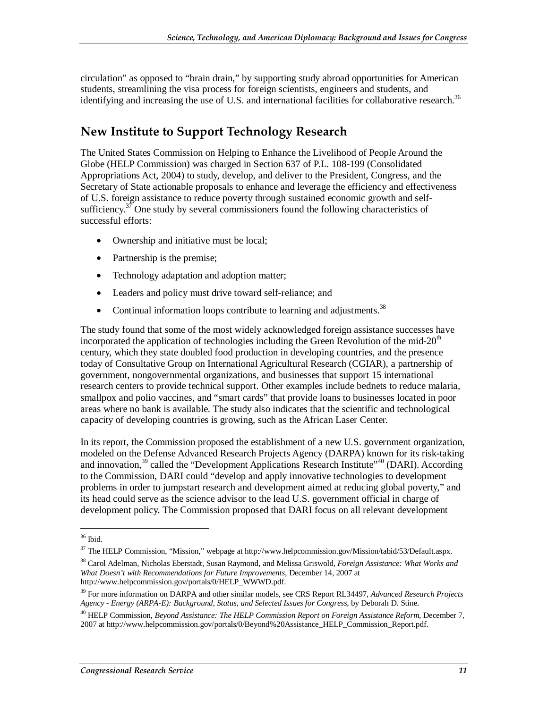circulation" as opposed to "brain drain," by supporting study abroad opportunities for American students, streamlining the visa process for foreign scientists, engineers and students, and identifying and increasing the use of U.S. and international facilities for collaborative research.<sup>36</sup>

### **New Institute to Support Technology Research**

The United States Commission on Helping to Enhance the Livelihood of People Around the Globe (HELP Commission) was charged in Section 637 of P.L. 108-199 (Consolidated Appropriations Act, 2004) to study, develop, and deliver to the President, Congress, and the Secretary of State actionable proposals to enhance and leverage the efficiency and effectiveness of U.S. foreign assistance to reduce poverty through sustained economic growth and selfsufficiency.<sup>37</sup> One study by several commissioners found the following characteristics of successful efforts:

- Ownership and initiative must be local;
- Partnership is the premise;
- Technology adaptation and adoption matter;
- Leaders and policy must drive toward self-reliance; and
- Continual information loops contribute to learning and adjustments.<sup>38</sup>

The study found that some of the most widely acknowledged foreign assistance successes have incorporated the application of technologies including the Green Revolution of the mid- $20<sup>th</sup>$ century, which they state doubled food production in developing countries, and the presence today of Consultative Group on International Agricultural Research (CGIAR), a partnership of government, nongovernmental organizations, and businesses that support 15 international research centers to provide technical support. Other examples include bednets to reduce malaria, smallpox and polio vaccines, and "smart cards" that provide loans to businesses located in poor areas where no bank is available. The study also indicates that the scientific and technological capacity of developing countries is growing, such as the African Laser Center.

In its report, the Commission proposed the establishment of a new U.S. government organization, modeled on the Defense Advanced Research Projects Agency (DARPA) known for its risk-taking and innovation,  $39$  called the "Development Applications Research Institute" (DARI). According to the Commission, DARI could "develop and apply innovative technologies to development problems in order to jumpstart research and development aimed at reducing global poverty," and its head could serve as the science advisor to the lead U.S. government official in charge of development policy. The Commission proposed that DARI focus on all relevant development

<sup>36</sup> Ibid.

<sup>37</sup> The HELP Commission, "Mission," webpage at http://www.helpcommission.gov/Mission/tabid/53/Default.aspx.

<sup>38</sup> Carol Adelman, Nicholas Eberstadt, Susan Raymond, and Melissa Griswold*, Foreign Assistance: What Works and What Doesn't with Recommendations for Future Improvements*, December 14, 2007 at http://www.helpcommission.gov/portals/0/HELP\_WWWD.pdf.

<sup>39</sup> For more information on DARPA and other similar models, see CRS Report RL34497, *Advanced Research Projects Agency - Energy (ARPA-E): Background, Status, and Selected Issues for Congress*, by Deborah D. Stine.

<sup>40</sup> HELP Commission, *Beyond Assistance: The HELP Commission Report on Foreign Assistance Reform*, December 7, 2007 at http://www.helpcommission.gov/portals/0/Beyond%20Assistance\_HELP\_Commission\_Report.pdf.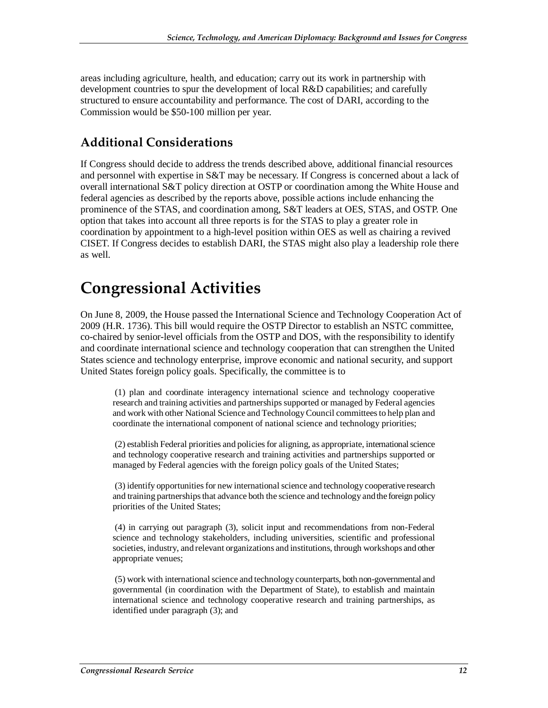areas including agriculture, health, and education; carry out its work in partnership with development countries to spur the development of local R&D capabilities; and carefully structured to ensure accountability and performance. The cost of DARI, according to the Commission would be \$50-100 million per year.

### **Additional Considerations**

If Congress should decide to address the trends described above, additional financial resources and personnel with expertise in S&T may be necessary. If Congress is concerned about a lack of overall international S&T policy direction at OSTP or coordination among the White House and federal agencies as described by the reports above, possible actions include enhancing the prominence of the STAS, and coordination among, S&T leaders at OES, STAS, and OSTP. One option that takes into account all three reports is for the STAS to play a greater role in coordination by appointment to a high-level position within OES as well as chairing a revived CISET. If Congress decides to establish DARI, the STAS might also play a leadership role there as well.

## **Congressional Activities**

On June 8, 2009, the House passed the International Science and Technology Cooperation Act of 2009 (H.R. 1736). This bill would require the OSTP Director to establish an NSTC committee, co-chaired by senior-level officials from the OSTP and DOS, with the responsibility to identify and coordinate international science and technology cooperation that can strengthen the United States science and technology enterprise, improve economic and national security, and support United States foreign policy goals. Specifically, the committee is to

 (1) plan and coordinate interagency international science and technology cooperative research and training activities and partnerships supported or managed by Federal agencies and work with other National Science and Technology Council committees to help plan and coordinate the international component of national science and technology priorities;

 (2) establish Federal priorities and policies for aligning, as appropriate, international science and technology cooperative research and training activities and partnerships supported or managed by Federal agencies with the foreign policy goals of the United States;

 (3) identify opportunities for new international science and technology cooperative research and training partnerships that advance both the science and technology and the foreign policy priorities of the United States;

 (4) in carrying out paragraph (3), solicit input and recommendations from non-Federal science and technology stakeholders, including universities, scientific and professional societies, industry, and relevant organizations and institutions, through workshops and other appropriate venues;

 (5) work with international science and technology counterparts, both non-governmental and governmental (in coordination with the Department of State), to establish and maintain international science and technology cooperative research and training partnerships, as identified under paragraph (3); and